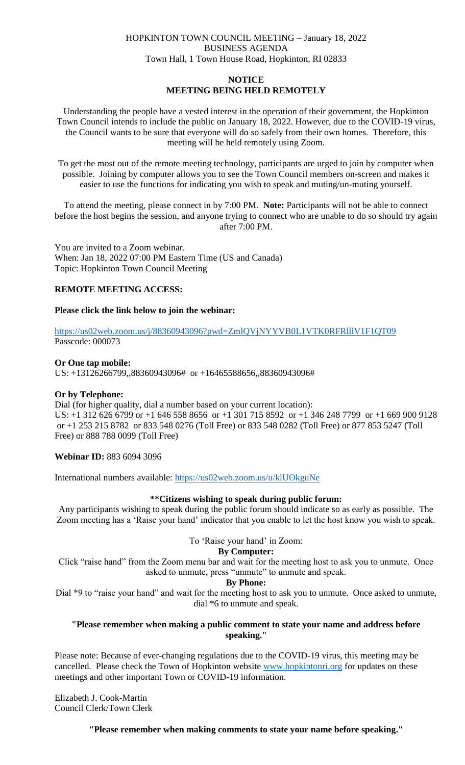# HOPKINTON TOWN COUNCIL MEETING – January 18, 2022 BUSINESS AGENDA Town Hall, 1 Town House Road, Hopkinton, RI 02833

# **NOTICE MEETING BEING HELD REMOTELY**

Understanding the people have a vested interest in the operation of their government, the Hopkinton Town Council intends to include the public on January 18, 2022. However, due to the COVID-19 virus, the Council wants to be sure that everyone will do so safely from their own homes. Therefore, this meeting will be held remotely using Zoom.

To get the most out of the remote meeting technology, participants are urged to join by computer when possible. Joining by computer allows you to see the Town Council members on-screen and makes it easier to use the functions for indicating you wish to speak and muting/un-muting yourself.

To attend the meeting, please connect in by 7:00 PM. **Note:** Participants will not be able to connect before the host begins the session, and anyone trying to connect who are unable to do so should try again after 7:00 PM.

You are invited to a Zoom webinar. When: Jan 18, 2022 07:00 PM Eastern Time (US and Canada) Topic: Hopkinton Town Council Meeting

# **REMOTE MEETING ACCESS:**

## **Please click the link below to join the webinar:**

<https://us02web.zoom.us/j/88360943096?pwd=ZmlQVjNYYVB0L1VTK0RFRlllV1F1QT09> Passcode: 000073

## **Or One tap mobile:**

US: +13126266799,,88360943096# or +16465588656,,88360943096#

## **Or by Telephone:**

Dial (for higher quality, dial a number based on your current location): US: +1 312 626 6799 or +1 646 558 8656 or +1 301 715 8592 or +1 346 248 7799 or +1 669 900 9128 or +1 253 215 8782 or 833 548 0276 (Toll Free) or 833 548 0282 (Toll Free) or 877 853 5247 (Toll Free) or 888 788 0099 (Toll Free)

**Webinar ID:** 883 6094 3096

International numbers available:<https://us02web.zoom.us/u/klUOkguNe>

## **\*\*Citizens wishing to speak during public forum:**

Any participants wishing to speak during the public forum should indicate so as early as possible. The Zoom meeting has a 'Raise your hand' indicator that you enable to let the host know you wish to speak.

## To 'Raise your hand' in Zoom:

#### **By Computer:**

Click "raise hand" from the Zoom menu bar and wait for the meeting host to ask you to unmute. Once asked to unmute, press "unmute" to unmute and speak.

#### **By Phone:**

Dial \*9 to "raise your hand" and wait for the meeting host to ask you to unmute. Once asked to unmute, dial \*6 to unmute and speak.

## **"Please remember when making a public comment to state your name and address before speaking."**

Please note: Because of ever-changing regulations due to the COVID-19 virus, this meeting may be cancelled. Please check the Town of Hopkinton website [www.hopkintonri.org](http://www.hopkintonri.org/) for updates on these meetings and other important Town or COVID-19 information.

Elizabeth J. Cook-Martin Council Clerk/Town Clerk

**"Please remember when making comments to state your name before speaking."**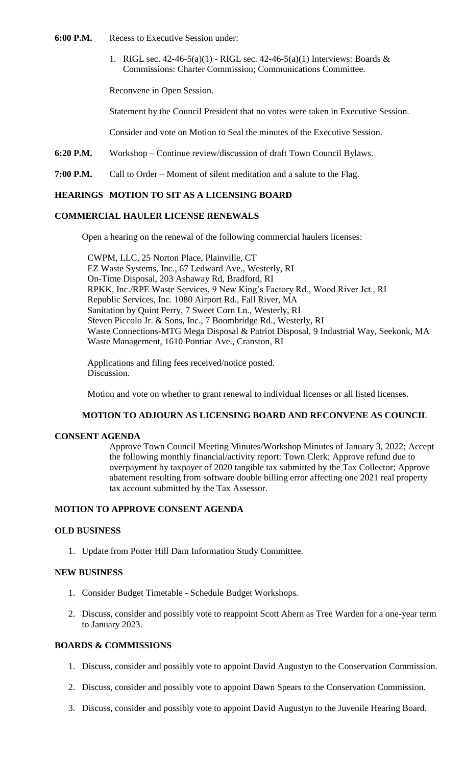- **6:00 P.M.** Recess to Executive Session under:
	- 1. RIGL sec.  $42-46-5(a)(1)$  RIGL sec.  $42-46-5(a)(1)$  Interviews: Boards & Commissions: Charter Commission; Communications Committee.

Reconvene in Open Session.

Statement by the Council President that no votes were taken in Executive Session.

Consider and vote on Motion to Seal the minutes of the Executive Session.

**6:20 P.M.** Workshop – Continue review/discussion of draft Town Council Bylaws.

**7:00 P.M.** Call to Order – Moment of silent meditation and a salute to the Flag.

# **HEARINGS MOTION TO SIT AS A LICENSING BOARD**

# **COMMERCIAL HAULER LICENSE RENEWALS**

Open a hearing on the renewal of the following commercial haulers licenses:

CWPM, LLC, 25 Norton Place, Plainville, CT EZ Waste Systems, Inc., 67 Ledward Ave., Westerly, RI On-Time Disposal, 203 Ashaway Rd, Bradford, RI RPKK, Inc./RPE Waste Services, 9 New King's Factory Rd., Wood River Jct., RI Republic Services, Inc. 1080 Airport Rd., Fall River, MA Sanitation by Quint Perry, 7 Sweet Corn Ln., Westerly, RI Steven Piccolo Jr. & Sons, Inc., 7 Boombridge Rd., Westerly, RI Waste Connections-MTG Mega Disposal & Patriot Disposal, 9 Industrial Way, Seekonk, MA Waste Management, 1610 Pontiac Ave., Cranston, RI

Applications and filing fees received/notice posted. Discussion.

Motion and vote on whether to grant renewal to individual licenses or all listed licenses.

#### **MOTION TO ADJOURN AS LICENSING BOARD AND RECONVENE AS COUNCIL**

#### **CONSENT AGENDA**

Approve Town Council Meeting Minutes/Workshop Minutes of January 3, 2022; Accept the following monthly financial/activity report: Town Clerk; Approve refund due to overpayment by taxpayer of 2020 tangible tax submitted by the Tax Collector; Approve abatement resulting from software double billing error affecting one 2021 real property tax account submitted by the Tax Assessor.

# **MOTION TO APPROVE CONSENT AGENDA**

#### **OLD BUSINESS**

1. Update from Potter Hill Dam Information Study Committee.

# **NEW BUSINESS**

- 1. Consider Budget Timetable Schedule Budget Workshops.
- 2. Discuss, consider and possibly vote to reappoint Scott Ahern as Tree Warden for a one-year term to January 2023.

### **BOARDS & COMMISSIONS**

- 1. Discuss, consider and possibly vote to appoint David Augustyn to the Conservation Commission.
- 2. Discuss, consider and possibly vote to appoint Dawn Spears to the Conservation Commission.
- 3. Discuss, consider and possibly vote to appoint David Augustyn to the Juvenile Hearing Board.